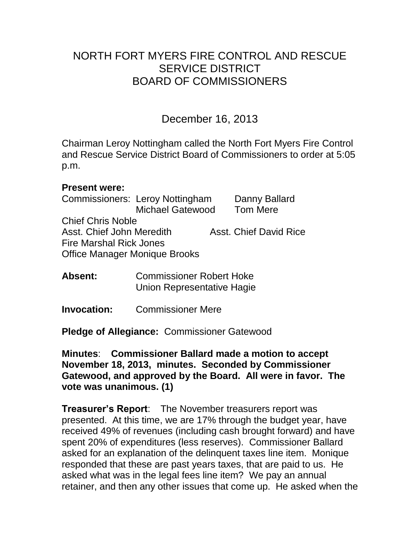# NORTH FORT MYERS FIRE CONTROL AND RESCUE SERVICE DISTRICT BOARD OF COMMISSIONERS

December 16, 2013

Chairman Leroy Nottingham called the North Fort Myers Fire Control and Rescue Service District Board of Commissioners to order at 5:05 p.m.

#### **Present were:**

Commissioners: Leroy Nottingham Danny Ballard Michael Gatewood Tom Mere Chief Chris Noble Asst. Chief John Meredith Asst. Chief David Rice Fire Marshal Rick Jones Office Manager Monique Brooks

**Absent:** Commissioner Robert Hoke Union Representative Hagie

**Invocation:** Commissioner Mere

**Pledge of Allegiance:** Commissioner Gatewood

**Minutes**: **Commissioner Ballard made a motion to accept November 18, 2013, minutes. Seconded by Commissioner Gatewood, and approved by the Board. All were in favor. The vote was unanimous. (1)** 

**Treasurer's Report**: The November treasurers report was presented. At this time, we are 17% through the budget year, have received 49% of revenues (including cash brought forward) and have spent 20% of expenditures (less reserves). Commissioner Ballard asked for an explanation of the delinquent taxes line item. Monique responded that these are past years taxes, that are paid to us. He asked what was in the legal fees line item? We pay an annual retainer, and then any other issues that come up. He asked when the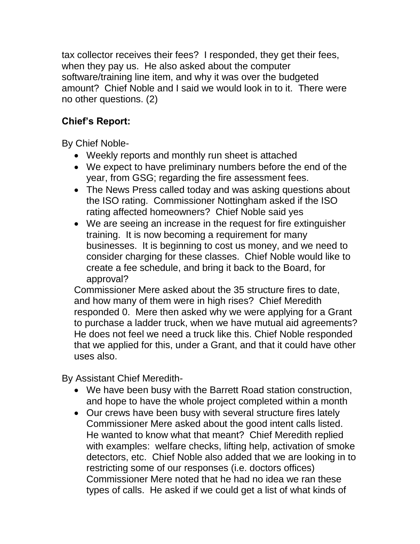tax collector receives their fees? I responded, they get their fees, when they pay us. He also asked about the computer software/training line item, and why it was over the budgeted amount? Chief Noble and I said we would look in to it. There were no other questions. (2)

# **Chief's Report:**

By Chief Noble-

- Weekly reports and monthly run sheet is attached
- We expect to have preliminary numbers before the end of the year, from GSG; regarding the fire assessment fees.
- The News Press called today and was asking questions about the ISO rating. Commissioner Nottingham asked if the ISO rating affected homeowners? Chief Noble said yes
- We are seeing an increase in the request for fire extinguisher training. It is now becoming a requirement for many businesses. It is beginning to cost us money, and we need to consider charging for these classes. Chief Noble would like to create a fee schedule, and bring it back to the Board, for approval?

Commissioner Mere asked about the 35 structure fires to date, and how many of them were in high rises? Chief Meredith responded 0. Mere then asked why we were applying for a Grant to purchase a ladder truck, when we have mutual aid agreements? He does not feel we need a truck like this. Chief Noble responded that we applied for this, under a Grant, and that it could have other uses also.

By Assistant Chief Meredith-

- We have been busy with the Barrett Road station construction, and hope to have the whole project completed within a month
- Our crews have been busy with several structure fires lately Commissioner Mere asked about the good intent calls listed. He wanted to know what that meant? Chief Meredith replied with examples: welfare checks, lifting help, activation of smoke detectors, etc. Chief Noble also added that we are looking in to restricting some of our responses (i.e. doctors offices) Commissioner Mere noted that he had no idea we ran these types of calls. He asked if we could get a list of what kinds of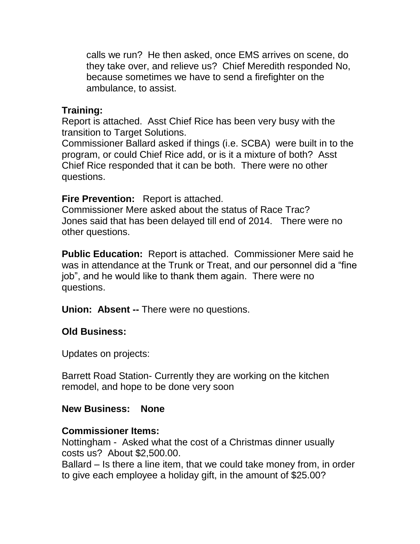calls we run? He then asked, once EMS arrives on scene, do they take over, and relieve us? Chief Meredith responded No, because sometimes we have to send a firefighter on the ambulance, to assist.

## **Training:**

Report is attached. Asst Chief Rice has been very busy with the transition to Target Solutions.

Commissioner Ballard asked if things (i.e. SCBA) were built in to the program, or could Chief Rice add, or is it a mixture of both? Asst Chief Rice responded that it can be both. There were no other questions.

## **Fire Prevention:** Report is attached.

Commissioner Mere asked about the status of Race Trac? Jones said that has been delayed till end of 2014. There were no other questions.

**Public Education:** Report is attached. Commissioner Mere said he was in attendance at the Trunk or Treat, and our personnel did a "fine job", and he would like to thank them again. There were no questions.

**Union: Absent --** There were no questions.

## **Old Business:**

Updates on projects:

Barrett Road Station- Currently they are working on the kitchen remodel, and hope to be done very soon

## **New Business: None**

## **Commissioner Items:**

Nottingham - Asked what the cost of a Christmas dinner usually costs us? About \$2,500.00.

Ballard – Is there a line item, that we could take money from, in order to give each employee a holiday gift, in the amount of \$25.00?